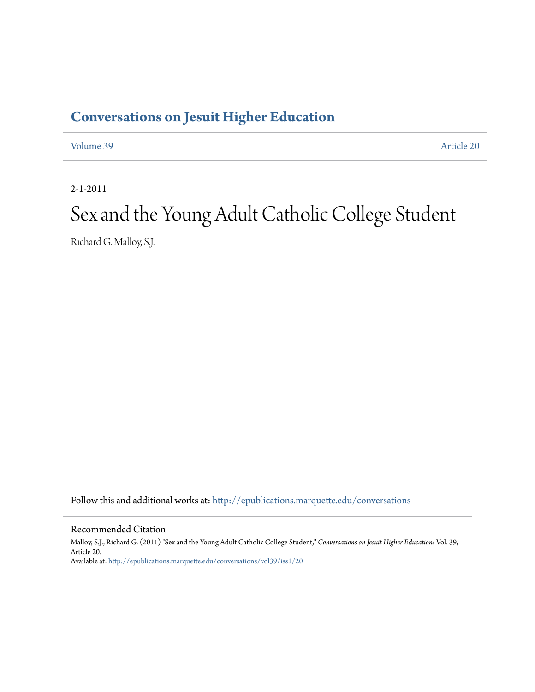## **[Conversations on Jesuit Higher Education](http://epublications.marquette.edu/conversations?utm_source=epublications.marquette.edu%2Fconversations%2Fvol39%2Fiss1%2F20&utm_medium=PDF&utm_campaign=PDFCoverPages)**

[Volume 39](http://epublications.marquette.edu/conversations/vol39?utm_source=epublications.marquette.edu%2Fconversations%2Fvol39%2Fiss1%2F20&utm_medium=PDF&utm_campaign=PDFCoverPages) [Article 20](http://epublications.marquette.edu/conversations/vol39/iss1/20?utm_source=epublications.marquette.edu%2Fconversations%2Fvol39%2Fiss1%2F20&utm_medium=PDF&utm_campaign=PDFCoverPages)

2-1-2011

# Sex and the Young Adult Catholic College Student

Richard G. Malloy, S.J.

Follow this and additional works at: [http://epublications.marquette.edu/conversations](http://epublications.marquette.edu/conversations?utm_source=epublications.marquette.edu%2Fconversations%2Fvol39%2Fiss1%2F20&utm_medium=PDF&utm_campaign=PDFCoverPages)

Recommended Citation

Malloy, S.J., Richard G. (2011) "Sex and the Young Adult Catholic College Student," *Conversations on Jesuit Higher Education*: Vol. 39, Article 20. Available at: [http://epublications.marquette.edu/conversations/vol39/iss1/20](http://epublications.marquette.edu/conversations/vol39/iss1/20?utm_source=epublications.marquette.edu%2Fconversations%2Fvol39%2Fiss1%2F20&utm_medium=PDF&utm_campaign=PDFCoverPages)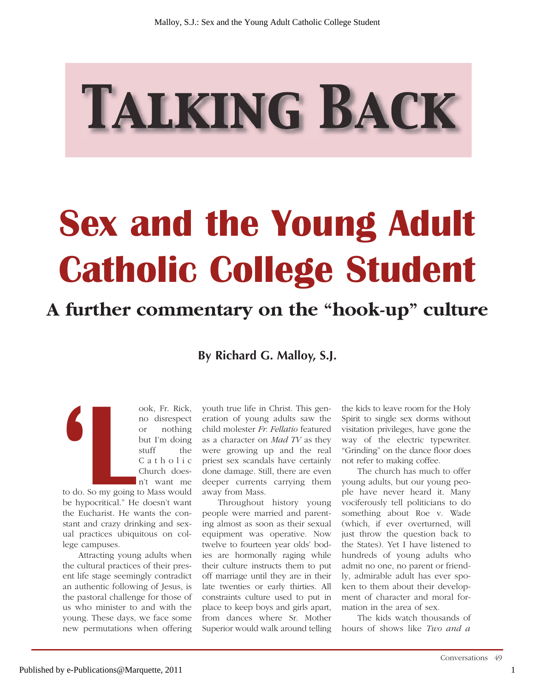# TALKING BACK

# **Sex and the Young Adult Catholic College Student**

# **A further commentary on the "hook-up" culture**

**By Richard G. Malloy, S.J.** 

ook, Fr. Rick,<br>
no disrespect<br>
or nothing<br>
but I'm doing<br>
stuff the<br>
C a t h o l i c<br>
Church does-<br>
n't want me<br>
to do. So my going to Mass would no disrespect or nothing but I'm doing stuff the C a t h o l i c Church doesn't want me

to do. So my going to Mass would be hypocritical." He doesn't want the Eucharist. He wants the constant and crazy drinking and sexual practices ubiquitous on college campuses.

Attracting young adults when the cultural practices of their present life stage seemingly contradict an authentic following of Jesus, is the pastoral challenge for those of us who minister to and with the young. These days, we face some new permutations when offering

youth true life in Christ. This generation of young adults saw the child molester *Fr. Fellatio* featured as a character on *Mad TV* as they were growing up and the real priest sex scandals have certainly done damage. Still, there are even deeper currents carrying them away from Mass.

Throughout history young people were married and parenting almost as soon as their sexual equipment was operative. Now twelve to fourteen year olds' bodies are hormonally raging while their culture instructs them to put off marriage until they are in their late twenties or early thirties. All constraints culture used to put in place to keep boys and girls apart, from dances where Sr. Mother Superior would walk around telling

the kids to leave room for the Holy Spirit to single sex dorms without visitation privileges, have gone the way of the electric typewriter. "Grinding" on the dance floor does not refer to making coffee.

The church has much to offer young adults, but our young people have never heard it. Many vociferously tell politicians to do something about Roe v. Wade (which, if ever overturned, will just throw the question back to the States). Yet I have listened to hundreds of young adults who admit no one, no parent or friendly, admirable adult has ever spoken to them about their development of character and moral formation in the area of sex.

The kids watch thousands of hours of shows like *Two and a*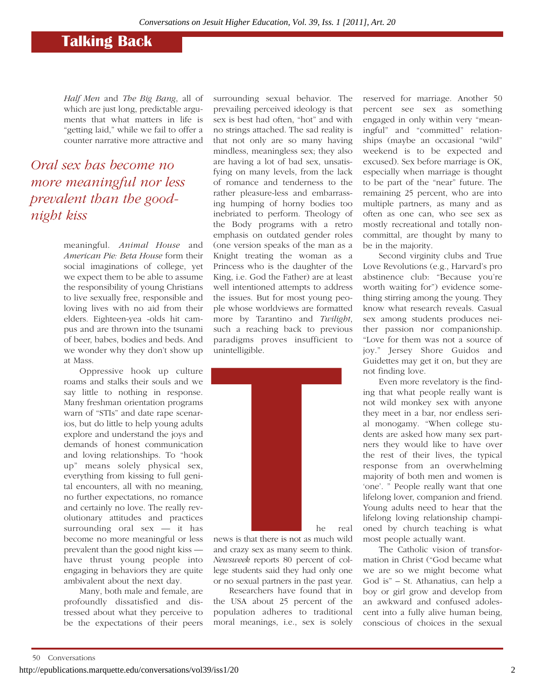### **Talking Back**

*Half Men* and *The Big Bang*, all of which are just long, predictable arguments that what matters in life is "getting laid," while we fail to offer a counter narrative more attractive and

*Oral sex has become no more meaningful nor less prevalent than the goodnight kiss*

> meaningful. *Animal House* and *American Pie: Beta House* form their social imaginations of college, yet we expect them to be able to assume the responsibility of young Christians to live sexually free, responsible and loving lives with no aid from their elders. Eighteen-yea -olds hit campus and are thrown into the tsunami of beer, babes, bodies and beds. And we wonder why they don't show up at Mass.

> Oppressive hook up culture roams and stalks their souls and we say little to nothing in response. Many freshman orientation programs warn of "STIs" and date rape scenarios, but do little to help young adults explore and understand the joys and demands of honest communication and loving relationships. To "hook up" means solely physical sex, everything from kissing to full genital encounters, all with no meaning, no further expectations, no romance and certainly no love. The really revolutionary attitudes and practices surrounding oral  $sex$  — it has become no more meaningful or less prevalent than the good night kiss have thrust young people into engaging in behaviors they are quite ambivalent about the next day.

> Many, both male and female, are profoundly dissatisfied and distressed about what they perceive to be the expectations of their peers

surrounding sexual behavior. The prevailing perceived ideology is that sex is best had often, "hot" and with no strings attached. The sad reality is that not only are so many having mindless, meaningless sex; they also are having a lot of bad sex, unsatisfying on many levels, from the lack of romance and tenderness to the rather pleasure-less and embarrassing humping of horny bodies too inebriated to perform. Theology of the Body programs with a retro emphasis on outdated gender roles (one version speaks of the man as a Knight treating the woman as a Princess who is the daughter of the King, i.e. God the Father) are at least well intentioned attempts to address the issues. But for most young people whose worldviews are formatted more by Tarantino and *Twilight*, such a reaching back to previous paradigms proves insufficient to unintelligible.



news is that there is not as much wild and crazy sex as many seem to think. *Newsweek* reports 80 percent of college students said they had only one or no sexual partners in the past year.

Researchers have found that in the USA about 25 percent of the population adheres to traditional moral meanings, i.e., sex is solely

reserved for marriage. Another 50 percent see sex as something engaged in only within very "meaningful" and "committed" relationships (maybe an occasional "wild" weekend is to be expected and excused). Sex before marriage is OK, especially when marriage is thought to be part of the "near" future. The remaining 25 percent, who are into multiple partners, as many and as often as one can, who see sex as mostly recreational and totally noncommittal, are thought by many to be in the majority.

Second virginity clubs and True Love Revolutions (e.g., Harvard's pro abstinence club: "Because you're worth waiting for") evidence something stirring among the young. They know what research reveals. Casual sex among students produces neither passion nor companionship. "Love for them was not a source of joy." Jersey Shore Guidos and Guidettes may get it on, but they are not finding love.

Even more revelatory is the finding that what people really want is not wild monkey sex with anyone they meet in a bar, nor endless serial monogamy. "When college students are asked how many sex partners they would like to have over the rest of their lives, the typical response from an overwhelming majority of both men and women is 'one'. " People really want that one lifelong lover, companion and friend. Young adults need to hear that the lifelong loving relationship championed by church teaching is what most people actually want.

The Catholic vision of transformation in Christ ("God became what we are so we might become what God is" – St. Athanatius, can help a boy or girl grow and develop from an awkward and confused adolescent into a fully alive human being, conscious of choices in the sexual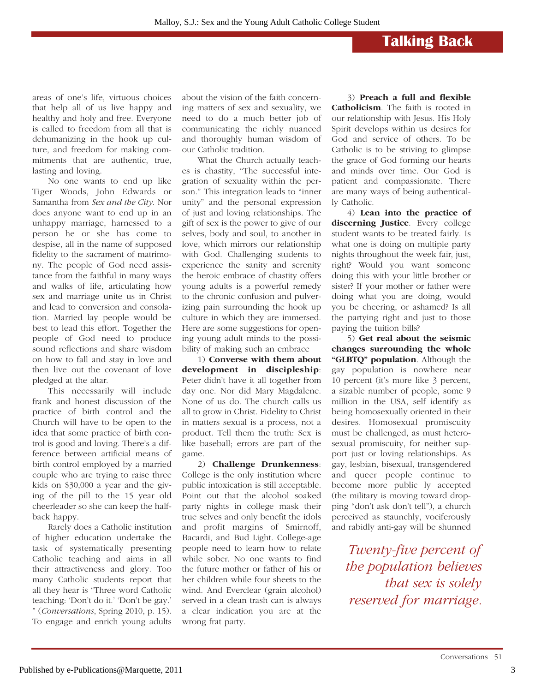#### **Talking Back**

areas of one's life, virtuous choices that help all of us live happy and healthy and holy and free. Everyone is called to freedom from all that is dehumanizing in the hook up culture, and freedom for making commitments that are authentic, true, lasting and loving.

No one wants to end up like Tiger Woods, John Edwards or Samantha from *Sex and the City*. Nor does anyone want to end up in an unhappy marriage, harnessed to a person he or she has come to despise, all in the name of supposed fidelity to the sacrament of matrimony. The people of God need assistance from the faithful in many ways and walks of life, articulating how sex and marriage unite us in Christ and lead to conversion and consolation. Married lay people would be best to lead this effort. Together the people of God need to produce sound reflections and share wisdom on how to fall and stay in love and then live out the covenant of love pledged at the altar.

This necessarily will include frank and honest discussion of the practice of birth control and the Church will have to be open to the idea that some practice of birth control is good and loving. There's a difference between artificial means of birth control employed by a married couple who are trying to raise three kids on \$30,000 a year and the giving of the pill to the 15 year old cheerleader so she can keep the halfback happy.

Rarely does a Catholic institution of higher education undertake the task of systematically presenting Catholic teaching and aims in all their attractiveness and glory. Too many Catholic students report that all they hear is "Three word Catholic teaching: 'Don't do it.' 'Don't be gay.' " (*Conversations*, Spring 2010, p. 15). To engage and enrich young adults about the vision of the faith concerning matters of sex and sexuality, we need to do a much better job of communicating the richly nuanced and thoroughly human wisdom of our Catholic tradition.

What the Church actually teaches is chastity, "The successful integration of sexuality within the person." This integration leads to "inner unity" and the personal expression of just and loving relationships. The gift of sex is the power to give of our selves, body and soul, to another in love, which mirrors our relationship with God. Challenging students to experience the sanity and serenity the heroic embrace of chastity offers young adults is a powerful remedy to the chronic confusion and pulverizing pain surrounding the hook up culture in which they are immersed. Here are some suggestions for opening young adult minds to the possibility of making such an embrace

1) **Converse with them about development in discipleship**: Peter didn't have it all together from day one. Nor did Mary Magdalene. None of us do. The church calls us all to grow in Christ. Fidelity to Christ in matters sexual is a process, not a product. Tell them the truth: Sex is like baseball; errors are part of the game.

2) **Challenge Drunkenness**: College is the only institution where public intoxication is still acceptable. Point out that the alcohol soaked party nights in college mask their true selves and only benefit the idols and profit margins of Smirnoff, Bacardi, and Bud Light. College-age people need to learn how to relate while sober. No one wants to find the future mother or father of his or her children while four sheets to the wind. And Everclear (grain alcohol) served in a clean trash can is always a clear indication you are at the wrong frat party.

3) **Preach a full and flexible Catholicism**. The faith is rooted in our relationship with Jesus. His Holy Spirit develops within us desires for God and service of others. To be Catholic is to be striving to glimpse the grace of God forming our hearts and minds over time. Our God is patient and compassionate. There are many ways of being authentically Catholic.

4) **Lean into the practice of discerning Justice**. Every college student wants to be treated fairly. Is what one is doing on multiple party nights throughout the week fair, just, right? Would you want someone doing this with your little brother or sister? If your mother or father were doing what you are doing, would you be cheering, or ashamed? Is all the partying right and just to those paying the tuition bills?

5) **Get real about the seismic changes surrounding the whole "GLBTQ" population**. Although the gay population is nowhere near 10 percent (it's more like 3 percent, a sizable number of people, some 9 million in the USA, self identify as being homosexually oriented in their desires. Homosexual promiscuity must be challenged, as must heterosexual promiscuity, for neither support just or loving relationships. As gay, lesbian, bisexual, transgendered and queer people continue to become more public ly accepted (the military is moving toward dropping "don't ask don't tell"), a church perceived as staunchly, vociferously and rabidly anti-gay will be shunned

*Twenty-five percent of the population believes that sex is solely reserved for marriage.*